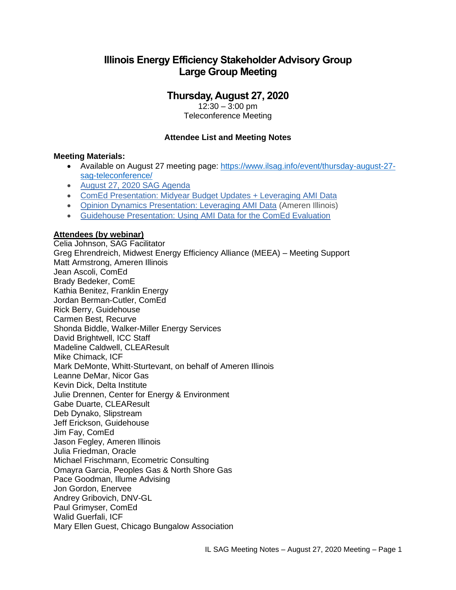# **Illinois Energy Efficiency Stakeholder Advisory Group Large Group Meeting**

## **Thursday, August 27, 2020**

12:30 – 3:00 pm Teleconference Meeting

### **Attendee List and Meeting Notes**

#### **Meeting Materials:**

- Available on August 27 meeting page: [https://www.ilsag.info/event/thursday-august-27](https://www.ilsag.info/event/thursday-august-27-sag-teleconference/) [sag-teleconference/](https://www.ilsag.info/event/thursday-august-27-sag-teleconference/)
- [August 27, 2020 SAG Agenda](https://ilsag.s3.amazonaws.com/SAG_Agenda_August-27-2020_Meeting_Final_v3.pdf)
- [ComEd Presentation: Midyear Budget Updates + Leveraging AMI Data](https://ilsag.s3.amazonaws.com/ComEd-August-SAG_08-26-20_Final.pdf)
- [Opinion Dynamics Presentation: Leveraging AMI Data](https://ilsag.s3.amazonaws.com/SAG-AMI-Data-Presentation-DRAFT-2020-08-25.pdf) (Ameren Illinois)
- [Guidehouse Presentation: Using AMI Data for the ComEd Evaluation](https://ilsag.s3.amazonaws.com/ComEd-EMV-AMI-Use-SAG-Meeting-2020-08-27.pdf)

#### **Attendees (by webinar)**

Celia Johnson, SAG Facilitator Greg Ehrendreich, Midwest Energy Efficiency Alliance (MEEA) – Meeting Support Matt Armstrong, Ameren Illinois Jean Ascoli, ComEd Brady Bedeker, ComE Kathia Benitez, Franklin Energy Jordan Berman-Cutler, ComEd Rick Berry, Guidehouse Carmen Best, Recurve Shonda Biddle, Walker-Miller Energy Services David Brightwell, ICC Staff Madeline Caldwell, CLEAResult Mike Chimack, ICF Mark DeMonte, Whitt-Sturtevant, on behalf of Ameren Illinois Leanne DeMar, Nicor Gas Kevin Dick, Delta Institute Julie Drennen, Center for Energy & Environment Gabe Duarte, CLEAResult Deb Dynako, Slipstream Jeff Erickson, Guidehouse Jim Fay, ComEd Jason Fegley, Ameren Illinois Julia Friedman, Oracle Michael Frischmann, Ecometric Consulting Omayra Garcia, Peoples Gas & North Shore Gas Pace Goodman, Illume Advising Jon Gordon, Enervee Andrey Gribovich, DNV-GL Paul Grimyser, ComEd Walid Guerfali, ICF Mary Ellen Guest, Chicago Bungalow Association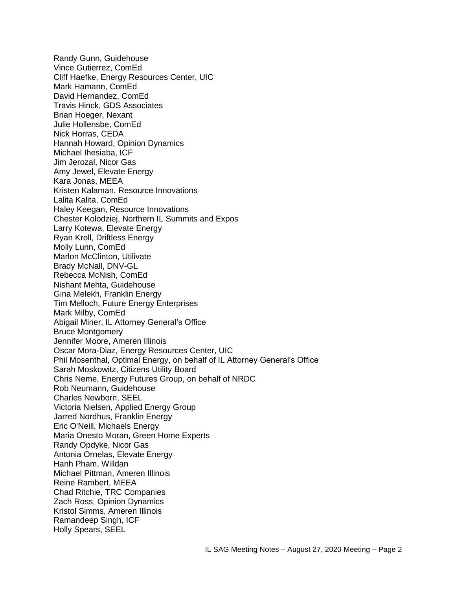Randy Gunn, Guidehouse Vince Gutierrez, ComEd Cliff Haefke, Energy Resources Center, UIC Mark Hamann, ComEd David Hernandez, ComEd Travis Hinck, GDS Associates Brian Hoeger, Nexant Julie Hollensbe, ComEd Nick Horras, CEDA Hannah Howard, Opinion Dynamics Michael Ihesiaba, ICF Jim Jerozal, Nicor Gas Amy Jewel, Elevate Energy Kara Jonas, MEEA Kristen Kalaman, Resource Innovations Lalita Kalita, ComEd Haley Keegan, Resource Innovations Chester Kolodziej, Northern IL Summits and Expos Larry Kotewa, Elevate Energy Ryan Kroll, Driftless Energy Molly Lunn, ComEd Marlon McClinton, Utilivate Brady McNall, DNV-GL Rebecca McNish, ComEd Nishant Mehta, Guidehouse Gina Melekh, Franklin Energy Tim Melloch, Future Energy Enterprises Mark Milby, ComEd Abigail Miner, IL Attorney General's Office Bruce Montgomery Jennifer Moore, Ameren Illinois Oscar Mora-Diaz, Energy Resources Center, UIC Phil Mosenthal, Optimal Energy, on behalf of IL Attorney General's Office Sarah Moskowitz, Citizens Utility Board Chris Neme, Energy Futures Group, on behalf of NRDC Rob Neumann, Guidehouse Charles Newborn, SEEL Victoria Nielsen, Applied Energy Group Jarred Nordhus, Franklin Energy Eric O'Neill, Michaels Energy Maria Onesto Moran, Green Home Experts Randy Opdyke, Nicor Gas Antonia Ornelas, Elevate Energy Hanh Pham, Willdan Michael Pittman, Ameren Illinois Reine Rambert, MEEA Chad Ritchie, TRC Companies Zach Ross, Opinion Dynamics Kristol Simms, Ameren Illinois Ramandeep Singh, ICF Holly Spears, SEEL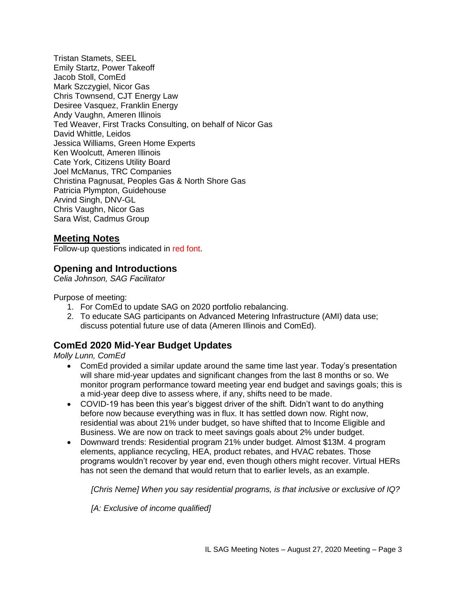Tristan Stamets, SEEL Emily Startz, Power Takeoff Jacob Stoll, ComEd Mark Szczygiel, Nicor Gas Chris Townsend, CJT Energy Law Desiree Vasquez, Franklin Energy Andy Vaughn, Ameren Illinois Ted Weaver, First Tracks Consulting, on behalf of Nicor Gas David Whittle, Leidos Jessica Williams, Green Home Experts Ken Woolcutt, Ameren Illinois Cate York, Citizens Utility Board Joel McManus, TRC Companies Christina Pagnusat, Peoples Gas & North Shore Gas Patricia Plympton, Guidehouse Arvind Singh, DNV-GL Chris Vaughn, Nicor Gas Sara Wist, Cadmus Group

### **Meeting Notes**

Follow-up questions indicated in red font.

### **Opening and Introductions**

*Celia Johnson, SAG Facilitator*

Purpose of meeting:

- 1. For ComEd to update SAG on 2020 portfolio rebalancing.
- 2. To educate SAG participants on Advanced Metering Infrastructure (AMI) data use; discuss potential future use of data (Ameren Illinois and ComEd).

### **ComEd 2020 Mid-Year Budget Updates**

*Molly Lunn, ComEd*

- ComEd provided a similar update around the same time last year. Today's presentation will share mid-year updates and significant changes from the last 8 months or so. We monitor program performance toward meeting year end budget and savings goals; this is a mid-year deep dive to assess where, if any, shifts need to be made.
- COVID-19 has been this year's biggest driver of the shift. Didn't want to do anything before now because everything was in flux. It has settled down now. Right now, residential was about 21% under budget, so have shifted that to Income Eligible and Business. We are now on track to meet savings goals about 2% under budget.
- Downward trends: Residential program 21% under budget. Almost \$13M. 4 program elements, appliance recycling, HEA, product rebates, and HVAC rebates. Those programs wouldn't recover by year end, even though others might recover. Virtual HERs has not seen the demand that would return that to earlier levels, as an example.

*[Chris Neme] When you say residential programs, is that inclusive or exclusive of IQ?* 

*[A: Exclusive of income qualified]*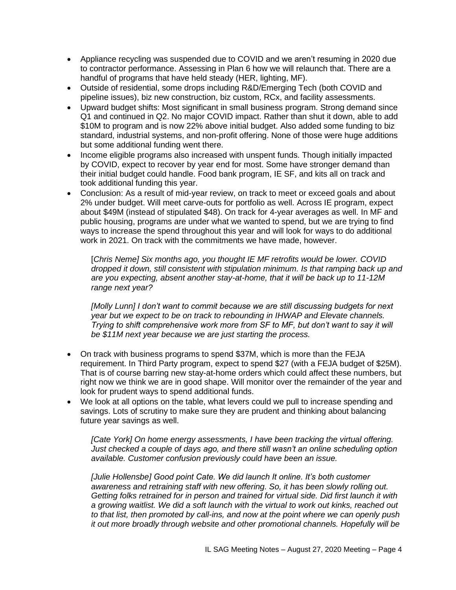- Appliance recycling was suspended due to COVID and we aren't resuming in 2020 due to contractor performance. Assessing in Plan 6 how we will relaunch that. There are a handful of programs that have held steady (HER, lighting, MF).
- Outside of residential, some drops including R&D/Emerging Tech (both COVID and pipeline issues), biz new construction, biz custom, RCx, and facility assessments.
- Upward budget shifts: Most significant in small business program. Strong demand since Q1 and continued in Q2. No major COVID impact. Rather than shut it down, able to add \$10M to program and is now 22% above initial budget. Also added some funding to biz standard, industrial systems, and non-profit offering. None of those were huge additions but some additional funding went there.
- Income eligible programs also increased with unspent funds. Though initially impacted by COVID, expect to recover by year end for most. Some have stronger demand than their initial budget could handle. Food bank program, IE SF, and kits all on track and took additional funding this year.
- Conclusion: As a result of mid-year review, on track to meet or exceed goals and about 2% under budget. Will meet carve-outs for portfolio as well. Across IE program, expect about \$49M (instead of stipulated \$48). On track for 4-year averages as well. In MF and public housing, programs are under what we wanted to spend, but we are trying to find ways to increase the spend throughout this year and will look for ways to do additional work in 2021. On track with the commitments we have made, however.

[*Chris Neme] Six months ago, you thought IE MF retrofits would be lower. COVID dropped it down, still consistent with stipulation minimum. Is that ramping back up and are you expecting, absent another stay-at-home, that it will be back up to 11-12M range next year?*

*[Molly Lunn] I don't want to commit because we are still discussing budgets for next year but we expect to be on track to rebounding in IHWAP and Elevate channels. Trying to shift comprehensive work more from SF to MF, but don't want to say it will be \$11M next year because we are just starting the process.*

- On track with business programs to spend \$37M, which is more than the FEJA requirement. In Third Party program, expect to spend \$27 (with a FEJA budget of \$25M). That is of course barring new stay-at-home orders which could affect these numbers, but right now we think we are in good shape. Will monitor over the remainder of the year and look for prudent ways to spend additional funds.
- We look at all options on the table, what levers could we pull to increase spending and savings. Lots of scrutiny to make sure they are prudent and thinking about balancing future year savings as well.

*[Cate York] On home energy assessments, I have been tracking the virtual offering. Just checked a couple of days ago, and there still wasn't an online scheduling option available. Customer confusion previously could have been an issue.*

*[Julie Hollensbe] Good point Cate. We did launch It online. It's both customer awareness and retraining staff with new offering. So, it has been slowly rolling out. Getting folks retrained for in person and trained for virtual side. Did first launch it with a growing waitlist. We did a soft launch with the virtual to work out kinks, reached out to that list, then promoted by call-ins, and now at the point where we can openly push it out more broadly through website and other promotional channels. Hopefully will be*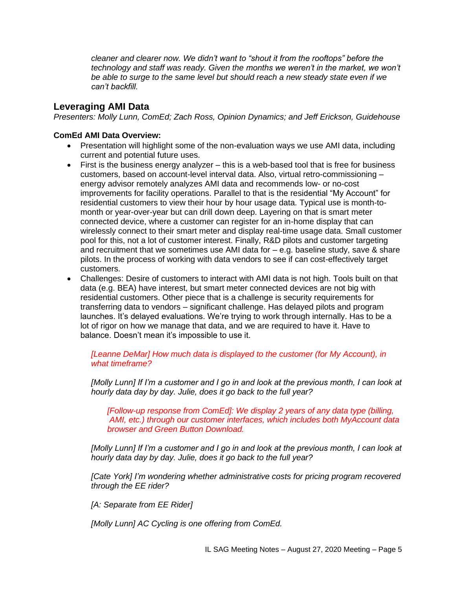*cleaner and clearer now. We didn't want to "shout it from the rooftops" before the technology and staff was ready. Given the months we weren't in the market, we won't be able to surge to the same level but should reach a new steady state even if we can't backfill.* 

## **Leveraging AMI Data**

*Presenters: Molly Lunn, ComEd; Zach Ross, Opinion Dynamics; and Jeff Erickson, Guidehouse*

#### **ComEd AMI Data Overview:**

- Presentation will highlight some of the non-evaluation ways we use AMI data, including current and potential future uses.
- First is the business energy analyzer this is a web-based tool that is free for business customers, based on account-level interval data. Also, virtual retro-commissioning – energy advisor remotely analyzes AMI data and recommends low- or no-cost improvements for facility operations. Parallel to that is the residential "My Account" for residential customers to view their hour by hour usage data. Typical use is month-tomonth or year-over-year but can drill down deep. Layering on that is smart meter connected device, where a customer can register for an in-home display that can wirelessly connect to their smart meter and display real-time usage data. Small customer pool for this, not a lot of customer interest. Finally, R&D pilots and customer targeting and recruitment that we sometimes use AMI data for  $-$  e.g. baseline study, save & share pilots. In the process of working with data vendors to see if can cost-effectively target customers.
- Challenges: Desire of customers to interact with AMI data is not high. Tools built on that data (e.g. BEA) have interest, but smart meter connected devices are not big with residential customers. Other piece that is a challenge is security requirements for transferring data to vendors – significant challenge. Has delayed pilots and program launches. It's delayed evaluations. We're trying to work through internally. Has to be a lot of rigor on how we manage that data, and we are required to have it. Have to balance. Doesn't mean it's impossible to use it.

*[Leanne DeMar] How much data is displayed to the customer (for My Account), in what timeframe?*

*[Molly Lunn] If I'm a customer and I go in and look at the previous month, I can look at hourly data day by day. Julie, does it go back to the full year?*

*[Follow-up response from ComEd]: We display 2 years of any data type (billing, AMI, etc.) through our customer interfaces, which includes both MyAccount data browser and Green Button Download.*

*[Molly Lunn] If I'm a customer and I go in and look at the previous month, I can look at hourly data day by day. Julie, does it go back to the full year?*

*[Cate York] I'm wondering whether administrative costs for pricing program recovered through the EE rider?* 

*[A: Separate from EE Rider]*

*[Molly Lunn] AC Cycling is one offering from ComEd.*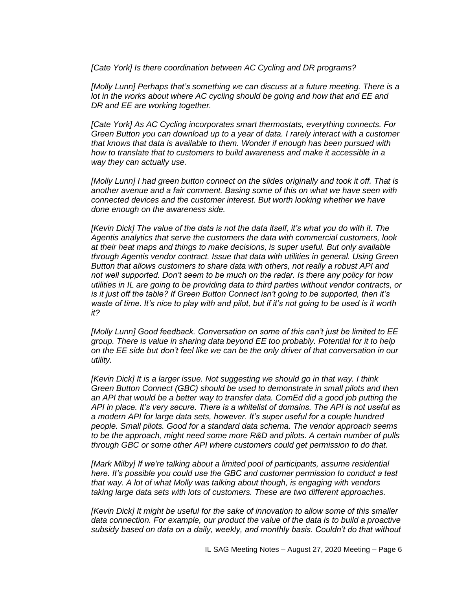*[Cate York] Is there coordination between AC Cycling and DR programs?*

*[Molly Lunn] Perhaps that's something we can discuss at a future meeting. There is a*  lot in the works about where AC cycling should be going and how that and EE and *DR and EE are working together.* 

*[Cate York] As AC Cycling incorporates smart thermostats, everything connects. For Green Button you can download up to a year of data. I rarely interact with a customer that knows that data is available to them. Wonder if enough has been pursued with how to translate that to customers to build awareness and make it accessible in a way they can actually use.*

*[Molly Lunn] I had green button connect on the slides originally and took it off. That is another avenue and a fair comment. Basing some of this on what we have seen with connected devices and the customer interest. But worth looking whether we have done enough on the awareness side.*

*[Kevin Dick] The value of the data is not the data itself, it's what you do with it. The Agentis analytics that serve the customers the data with commercial customers, look at their heat maps and things to make decisions, is super useful. But only available through Agentis vendor contract. Issue that data with utilities in general. Using Green Button that allows customers to share data with others, not really a robust API and not well supported. Don't seem to be much on the radar. Is there any policy for how utilities in IL are going to be providing data to third parties without vendor contracts, or is it just off the table? If Green Button Connect isn't going to be supported, then it's waste of time. It's nice to play with and pilot, but if it's not going to be used is it worth it?*

*[Molly Lunn] Good feedback. Conversation on some of this can't just be limited to EE group. There is value in sharing data beyond EE too probably. Potential for it to help on the EE side but don't feel like we can be the only driver of that conversation in our utility.* 

*[Kevin Dick] It is a larger issue. Not suggesting we should go in that way. I think Green Button Connect (GBC) should be used to demonstrate in small pilots and then an API that would be a better way to transfer data. ComEd did a good job putting the API in place. It's very secure. There is a whitelist of domains. The API is not useful as a modern API for large data sets, however. It's super useful for a couple hundred people. Small pilots. Good for a standard data schema. The vendor approach seems to be the approach, might need some more R&D and pilots. A certain number of pulls through GBC or some other API where customers could get permission to do that.*

*[Mark Milby] If we're talking about a limited pool of participants, assume residential here. It's possible you could use the GBC and customer permission to conduct a test that way. A lot of what Molly was talking about though, is engaging with vendors taking large data sets with lots of customers. These are two different approaches.*

*[Kevin Dick] It might be useful for the sake of innovation to allow some of this smaller data connection. For example, our product the value of the data is to build a proactive subsidy based on data on a daily, weekly, and monthly basis. Couldn't do that without*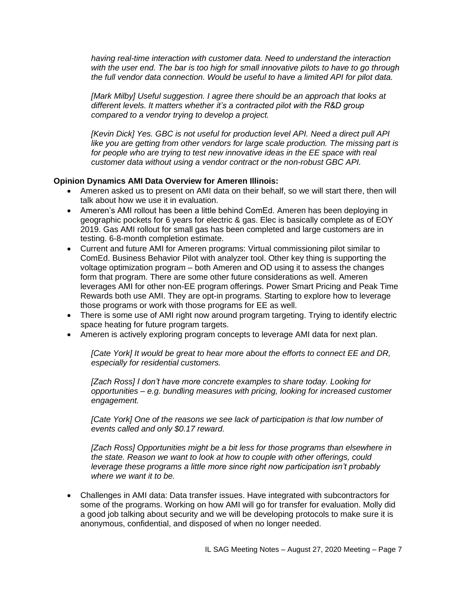*having real-time interaction with customer data. Need to understand the interaction with the user end. The bar is too high for small innovative pilots to have to go through the full vendor data connection. Would be useful to have a limited API for pilot data.* 

*[Mark Milby] Useful suggestion. I agree there should be an approach that looks at different levels. It matters whether it's a contracted pilot with the R&D group compared to a vendor trying to develop a project.* 

*[Kevin Dick] Yes. GBC is not useful for production level API. Need a direct pull API like you are getting from other vendors for large scale production. The missing part is for people who are trying to test new innovative ideas in the EE space with real customer data without using a vendor contract or the non-robust GBC API.*

#### **Opinion Dynamics AMI Data Overview for Ameren Illinois:**

- Ameren asked us to present on AMI data on their behalf, so we will start there, then will talk about how we use it in evaluation.
- Ameren's AMI rollout has been a little behind ComEd. Ameren has been deploying in geographic pockets for 6 years for electric & gas. Elec is basically complete as of EOY 2019. Gas AMI rollout for small gas has been completed and large customers are in testing. 6-8-month completion estimate.
- Current and future AMI for Ameren programs: Virtual commissioning pilot similar to ComEd. Business Behavior Pilot with analyzer tool. Other key thing is supporting the voltage optimization program – both Ameren and OD using it to assess the changes form that program. There are some other future considerations as well. Ameren leverages AMI for other non-EE program offerings. Power Smart Pricing and Peak Time Rewards both use AMI. They are opt-in programs. Starting to explore how to leverage those programs or work with those programs for EE as well.
- There is some use of AMI right now around program targeting. Trying to identify electric space heating for future program targets.
- Ameren is actively exploring program concepts to leverage AMI data for next plan.

*[Cate York] It would be great to hear more about the efforts to connect EE and DR, especially for residential customers.*

*[Zach Ross] I don't have more concrete examples to share today. Looking for opportunities – e.g. bundling measures with pricing, looking for increased customer engagement.*

*[Cate York] One of the reasons we see lack of participation is that low number of events called and only \$0.17 reward.*

*[Zach Ross] Opportunities might be a bit less for those programs than elsewhere in the state. Reason we want to look at how to couple with other offerings, could leverage these programs a little more since right now participation isn't probably where we want it to be.*

• Challenges in AMI data: Data transfer issues. Have integrated with subcontractors for some of the programs. Working on how AMI will go for transfer for evaluation. Molly did a good job talking about security and we will be developing protocols to make sure it is anonymous, confidential, and disposed of when no longer needed.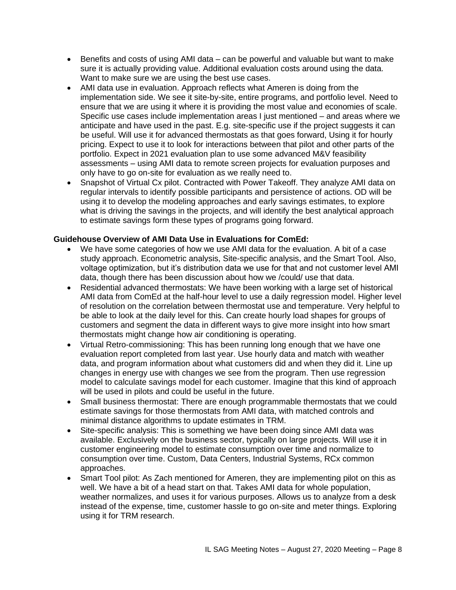- Benefits and costs of using AMI data can be powerful and valuable but want to make sure it is actually providing value. Additional evaluation costs around using the data. Want to make sure we are using the best use cases.
- AMI data use in evaluation. Approach reflects what Ameren is doing from the implementation side. We see it site-by-site, entire programs, and portfolio level. Need to ensure that we are using it where it is providing the most value and economies of scale. Specific use cases include implementation areas I just mentioned – and areas where we anticipate and have used in the past. E.g. site-specific use if the project suggests it can be useful. Will use it for advanced thermostats as that goes forward, Using it for hourly pricing. Expect to use it to look for interactions between that pilot and other parts of the portfolio. Expect in 2021 evaluation plan to use some advanced M&V feasibility assessments – using AMI data to remote screen projects for evaluation purposes and only have to go on-site for evaluation as we really need to.
- Snapshot of Virtual Cx pilot. Contracted with Power Takeoff. They analyze AMI data on regular intervals to identify possible participants and persistence of actions. OD will be using it to develop the modeling approaches and early savings estimates, to explore what is driving the savings in the projects, and will identify the best analytical approach to estimate savings form these types of programs going forward.

### **Guidehouse Overview of AMI Data Use in Evaluations for ComEd:**

- We have some categories of how we use AMI data for the evaluation. A bit of a case study approach. Econometric analysis, Site-specific analysis, and the Smart Tool. Also, voltage optimization, but it's distribution data we use for that and not customer level AMI data, though there has been discussion about how we /could/ use that data.
- Residential advanced thermostats: We have been working with a large set of historical AMI data from ComEd at the half-hour level to use a daily regression model. Higher level of resolution on the correlation between thermostat use and temperature. Very helpful to be able to look at the daily level for this. Can create hourly load shapes for groups of customers and segment the data in different ways to give more insight into how smart thermostats might change how air conditioning is operating.
- Virtual Retro-commissioning: This has been running long enough that we have one evaluation report completed from last year. Use hourly data and match with weather data, and program information about what customers did and when they did it. Line up changes in energy use with changes we see from the program. Then use regression model to calculate savings model for each customer. Imagine that this kind of approach will be used in pilots and could be useful in the future.
- Small business thermostat: There are enough programmable thermostats that we could estimate savings for those thermostats from AMI data, with matched controls and minimal distance algorithms to update estimates in TRM.
- Site-specific analysis: This is something we have been doing since AMI data was available. Exclusively on the business sector, typically on large projects. Will use it in customer engineering model to estimate consumption over time and normalize to consumption over time. Custom, Data Centers, Industrial Systems, RCx common approaches.
- Smart Tool pilot: As Zach mentioned for Ameren, they are implementing pilot on this as well. We have a bit of a head start on that. Takes AMI data for whole population, weather normalizes, and uses it for various purposes. Allows us to analyze from a desk instead of the expense, time, customer hassle to go on-site and meter things. Exploring using it for TRM research.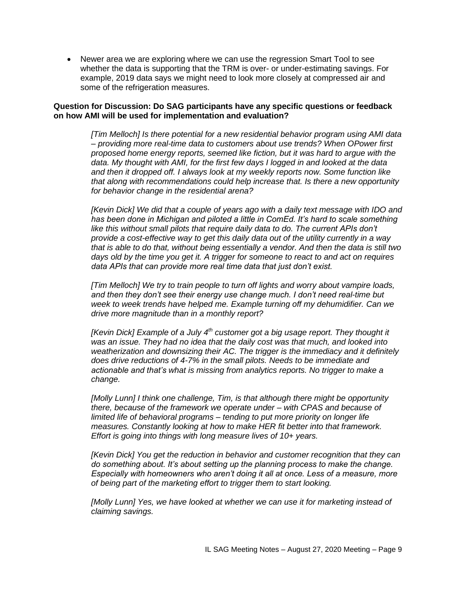• Newer area we are exploring where we can use the regression Smart Tool to see whether the data is supporting that the TRM is over- or under-estimating savings. For example, 2019 data says we might need to look more closely at compressed air and some of the refrigeration measures.

#### **Question for Discussion: Do SAG participants have any specific questions or feedback on how AMI will be used for implementation and evaluation?**

*[Tim Melloch] Is there potential for a new residential behavior program using AMI data – providing more real-time data to customers about use trends? When OPower first proposed home energy reports, seemed like fiction, but it was hard to argue with the data. My thought with AMI, for the first few days I logged in and looked at the data and then it dropped off. I always look at my weekly reports now. Some function like that along with recommendations could help increase that. Is there a new opportunity for behavior change in the residential arena?*

*[Kevin Dick] We did that a couple of years ago with a daily text message with IDO and has been done in Michigan and piloted a little in ComEd. It's hard to scale something*  like this without small pilots that require daily data to do. The current APIs don't *provide a cost-effective way to get this daily data out of the utility currently in a way that is able to do that, without being essentially a vendor. And then the data is still two days old by the time you get it. A trigger for someone to react to and act on requires data APIs that can provide more real time data that just don't exist.*

*[Tim Melloch] We try to train people to turn off lights and worry about vampire loads, and then they don't see their energy use change much. I don't need real-time but week to week trends have helped me. Example turning off my dehumidifier. Can we drive more magnitude than in a monthly report?*

*[Kevin Dick] Example of a July 4th customer got a big usage report. They thought it was an issue. They had no idea that the daily cost was that much, and looked into weatherization and downsizing their AC. The trigger is the immediacy and it definitely does drive reductions of 4-7% in the small pilots. Needs to be immediate and actionable and that's what is missing from analytics reports. No trigger to make a change.*

*[Molly Lunn] I think one challenge, Tim, is that although there might be opportunity there, because of the framework we operate under – with CPAS and because of limited life of behavioral programs – tending to put more priority on longer life measures. Constantly looking at how to make HER fit better into that framework. Effort is going into things with long measure lives of 10+ years.*

*[Kevin Dick] You get the reduction in behavior and customer recognition that they can do something about. It's about setting up the planning process to make the change. Especially with homeowners who aren't doing it all at once. Less of a measure, more of being part of the marketing effort to trigger them to start looking.*

*[Molly Lunn] Yes, we have looked at whether we can use it for marketing instead of claiming savings.*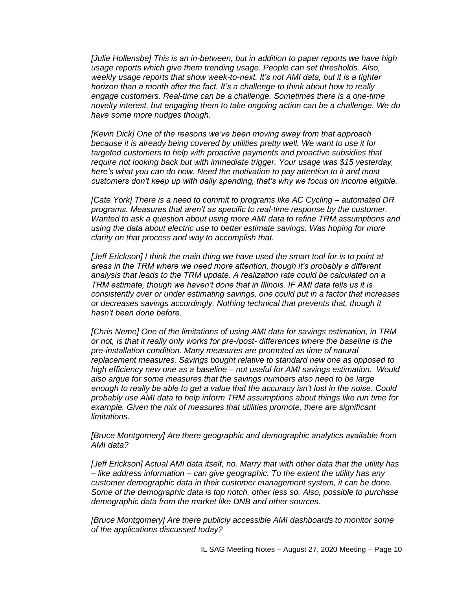*[Julie Hollensbe] This is an in-between, but in addition to paper reports we have high usage reports which give them trending usage. People can set thresholds. Also, weekly usage reports that show week-to-next. It's not AMI data, but it is a tighter horizon than a month after the fact. It's a challenge to think about how to really engage customers. Real-time can be a challenge. Sometimes there is a one-time novelty interest, but engaging them to take ongoing action can be a challenge. We do have some more nudges though.*

*[Kevin Dick] One of the reasons we've been moving away from that approach because it is already being covered by utilities pretty well. We want to use it for targeted customers to help with proactive payments and proactive subsidies that require not looking back but with immediate trigger. Your usage was \$15 yesterday, here's what you can do now. Need the motivation to pay attention to it and most customers don't keep up with daily spending, that's why we focus on income eligible.*

*[Cate York] There is a need to commit to programs like AC Cycling – automated DR programs. Measures that aren't as specific to real-time response by the customer. Wanted to ask a question about using more AMI data to refine TRM assumptions and using the data about electric use to better estimate savings. Was hoping for more clarity on that process and way to accomplish that.*

*[Jeff Erickson] I think the main thing we have used the smart tool for is to point at areas in the TRM where we need more attention, though it's probably a different analysis that leads to the TRM update. A realization rate could be calculated on a TRM estimate, though we haven't done that in Illinois. IF AMI data tells us it is consistently over or under estimating savings, one could put in a factor that increases or decreases savings accordingly. Nothing technical that prevents that, though it hasn't been done before.*

*[Chris Neme] One of the limitations of using AMI data for savings estimation, in TRM or not, is that it really only works for pre-/post- differences where the baseline is the pre-installation condition. Many measures are promoted as time of natural replacement measures. Savings bought relative to standard new one as opposed to high efficiency new one as a baseline – not useful for AMI savings estimation. Would also argue for some measures that the savings numbers also need to be large enough to really be able to get a value that the accuracy isn't lost in the noise. Could probably use AMI data to help inform TRM assumptions about things like run time for example. Given the mix of measures that utilities promote, there are significant limitations.*

*[Bruce Montgomery] Are there geographic and demographic analytics available from AMI data?*

*[Jeff Erickson] Actual AMI data itself, no. Marry that with other data that the utility has – like address information – can give geographic. To the extent the utility has any customer demographic data in their customer management system, it can be done. Some of the demographic data is top notch, other less so. Also, possible to purchase demographic data from the market like DNB and other sources.*

*[Bruce Montgomery] Are there publicly accessible AMI dashboards to monitor some of the applications discussed today?*